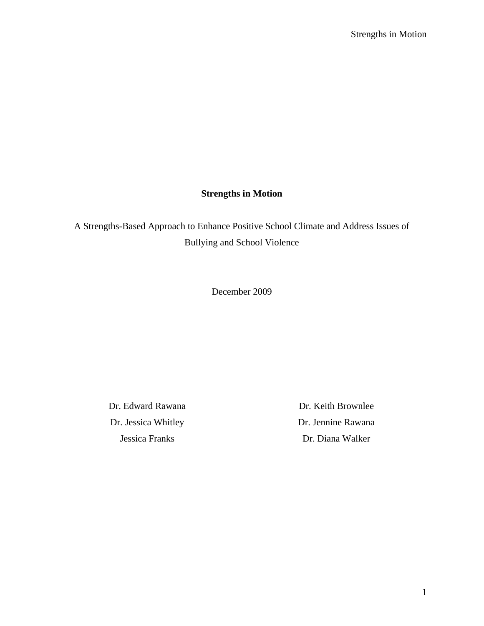A Strengths-Based Approach to Enhance Positive School Climate and Address Issues of Bullying and School Violence

December 2009

Dr. Jessica Whitley Dr. Jennine Rawana

Dr. Edward Rawana Dr. Keith Brownlee Jessica Franks Dr. Diana Walker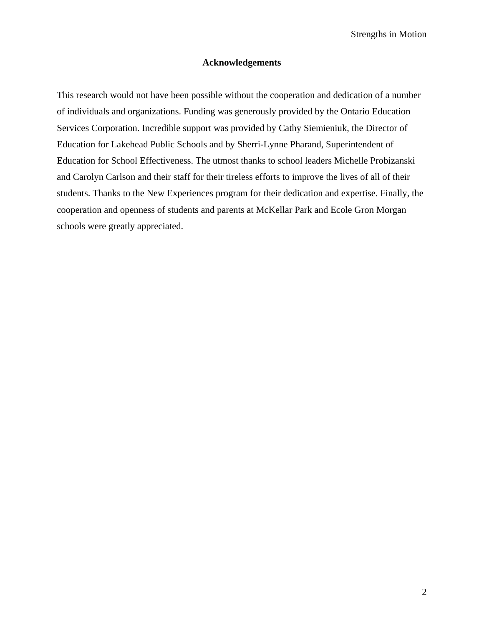## **Acknowledgements**

This research would not have been possible without the cooperation and dedication of a number of individuals and organizations. Funding was generously provided by the Ontario Education Services Corporation. Incredible support was provided by Cathy Siemieniuk, the Director of Education for Lakehead Public Schools and by Sherri-Lynne Pharand, Superintendent of Education for School Effectiveness. The utmost thanks to school leaders Michelle Probizanski and Carolyn Carlson and their staff for their tireless efforts to improve the lives of all of their students. Thanks to the New Experiences program for their dedication and expertise. Finally, the cooperation and openness of students and parents at McKellar Park and Ecole Gron Morgan schools were greatly appreciated.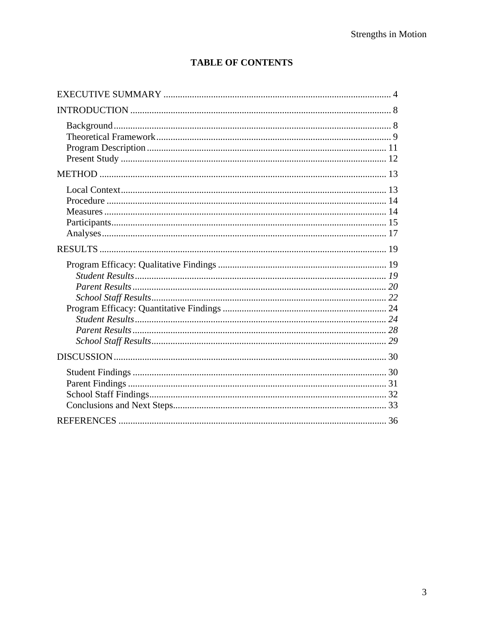# **TABLE OF CONTENTS**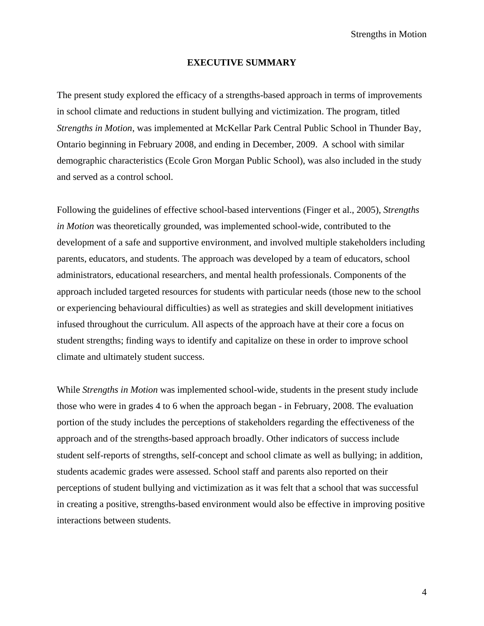## **EXECUTIVE SUMMARY**

The present study explored the efficacy of a strengths-based approach in terms of improvements in school climate and reductions in student bullying and victimization. The program, titled *Strengths in Motion*, was implemented at McKellar Park Central Public School in Thunder Bay, Ontario beginning in February 2008, and ending in December, 2009. A school with similar demographic characteristics (Ecole Gron Morgan Public School), was also included in the study and served as a control school.

Following the guidelines of effective school-based interventions (Finger et al., 2005), *Strengths in Motion* was theoretically grounded, was implemented school-wide, contributed to the development of a safe and supportive environment, and involved multiple stakeholders including parents, educators, and students. The approach was developed by a team of educators, school administrators, educational researchers, and mental health professionals. Components of the approach included targeted resources for students with particular needs (those new to the school or experiencing behavioural difficulties) as well as strategies and skill development initiatives infused throughout the curriculum. All aspects of the approach have at their core a focus on student strengths; finding ways to identify and capitalize on these in order to improve school climate and ultimately student success.

While *Strengths in Motion* was implemented school-wide, students in the present study include those who were in grades 4 to 6 when the approach began - in February, 2008. The evaluation portion of the study includes the perceptions of stakeholders regarding the effectiveness of the approach and of the strengths-based approach broadly. Other indicators of success include student self-reports of strengths, self-concept and school climate as well as bullying; in addition, students academic grades were assessed. School staff and parents also reported on their perceptions of student bullying and victimization as it was felt that a school that was successful in creating a positive, strengths-based environment would also be effective in improving positive interactions between students.

4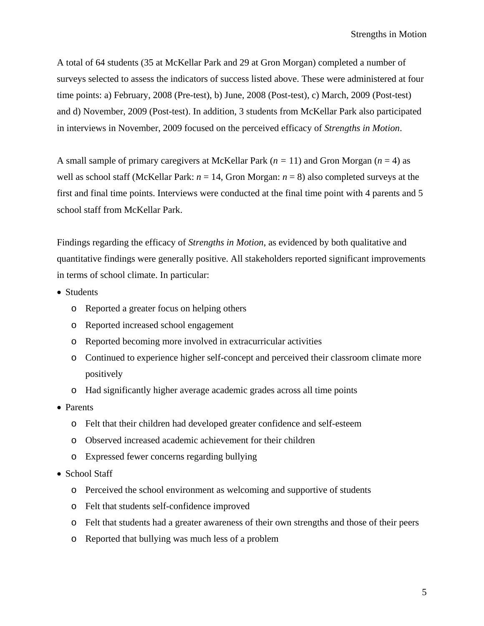A total of 64 students (35 at McKellar Park and 29 at Gron Morgan) completed a number of surveys selected to assess the indicators of success listed above. These were administered at four time points: a) February, 2008 (Pre-test), b) June, 2008 (Post-test), c) March, 2009 (Post-test) and d) November, 2009 (Post-test). In addition, 3 students from McKellar Park also participated in interviews in November, 2009 focused on the perceived efficacy of *Strengths in Motion*.

A small sample of primary caregivers at McKellar Park (*n =* 11) and Gron Morgan (*n* = 4) as well as school staff (McKellar Park:  $n = 14$ , Gron Morgan:  $n = 8$ ) also completed surveys at the first and final time points. Interviews were conducted at the final time point with 4 parents and 5 school staff from McKellar Park.

Findings regarding the efficacy of *Strengths in Motion*, as evidenced by both qualitative and quantitative findings were generally positive. All stakeholders reported significant improvements in terms of school climate. In particular:

- Students
	- o Reported a greater focus on helping others
	- o Reported increased school engagement
	- o Reported becoming more involved in extracurricular activities
	- o Continued to experience higher self-concept and perceived their classroom climate more positively
	- o Had significantly higher average academic grades across all time points
- Parents
	- o Felt that their children had developed greater confidence and self-esteem
	- o Observed increased academic achievement for their children
	- o Expressed fewer concerns regarding bullying
- School Staff
	- o Perceived the school environment as welcoming and supportive of students
	- o Felt that students self-confidence improved
	- o Felt that students had a greater awareness of their own strengths and those of their peers
	- o Reported that bullying was much less of a problem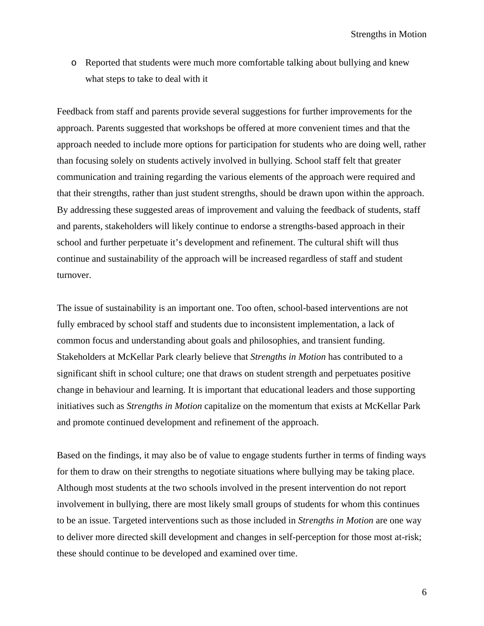o Reported that students were much more comfortable talking about bullying and knew what steps to take to deal with it

Feedback from staff and parents provide several suggestions for further improvements for the approach. Parents suggested that workshops be offered at more convenient times and that the approach needed to include more options for participation for students who are doing well, rather than focusing solely on students actively involved in bullying. School staff felt that greater communication and training regarding the various elements of the approach were required and that their strengths, rather than just student strengths, should be drawn upon within the approach. By addressing these suggested areas of improvement and valuing the feedback of students, staff and parents, stakeholders will likely continue to endorse a strengths-based approach in their school and further perpetuate it's development and refinement. The cultural shift will thus continue and sustainability of the approach will be increased regardless of staff and student turnover.

The issue of sustainability is an important one. Too often, school-based interventions are not fully embraced by school staff and students due to inconsistent implementation, a lack of common focus and understanding about goals and philosophies, and transient funding. Stakeholders at McKellar Park clearly believe that *Strengths in Motion* has contributed to a significant shift in school culture; one that draws on student strength and perpetuates positive change in behaviour and learning. It is important that educational leaders and those supporting initiatives such as *Strengths in Motion* capitalize on the momentum that exists at McKellar Park and promote continued development and refinement of the approach.

Based on the findings, it may also be of value to engage students further in terms of finding ways for them to draw on their strengths to negotiate situations where bullying may be taking place. Although most students at the two schools involved in the present intervention do not report involvement in bullying, there are most likely small groups of students for whom this continues to be an issue. Targeted interventions such as those included in *Strengths in Motion* are one way to deliver more directed skill development and changes in self-perception for those most at-risk; these should continue to be developed and examined over time.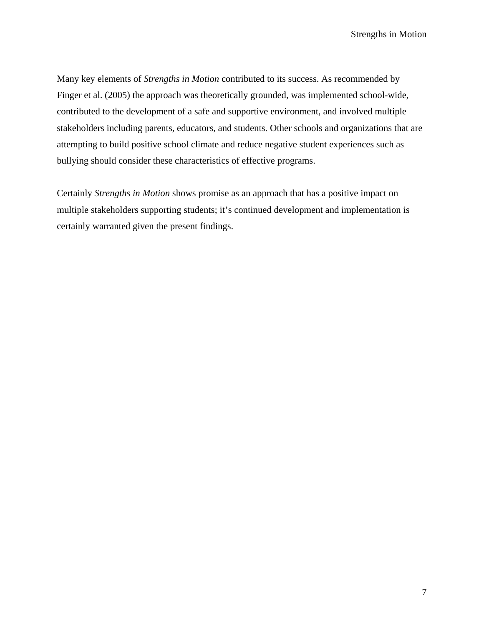Many key elements of *Strengths in Motion* contributed to its success. As recommended by Finger et al. (2005) the approach was theoretically grounded, was implemented school-wide, contributed to the development of a safe and supportive environment, and involved multiple stakeholders including parents, educators, and students. Other schools and organizations that are attempting to build positive school climate and reduce negative student experiences such as bullying should consider these characteristics of effective programs.

Certainly *Strengths in Motion* shows promise as an approach that has a positive impact on multiple stakeholders supporting students; it's continued development and implementation is certainly warranted given the present findings.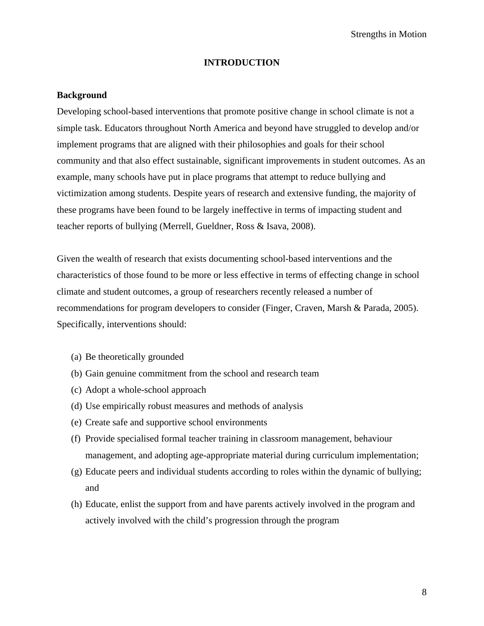## **INTRODUCTION**

## **Background**

Developing school-based interventions that promote positive change in school climate is not a simple task. Educators throughout North America and beyond have struggled to develop and/or implement programs that are aligned with their philosophies and goals for their school community and that also effect sustainable, significant improvements in student outcomes. As an example, many schools have put in place programs that attempt to reduce bullying and victimization among students. Despite years of research and extensive funding, the majority of these programs have been found to be largely ineffective in terms of impacting student and teacher reports of bullying (Merrell, Gueldner, Ross & Isava, 2008).

Given the wealth of research that exists documenting school-based interventions and the characteristics of those found to be more or less effective in terms of effecting change in school climate and student outcomes, a group of researchers recently released a number of recommendations for program developers to consider (Finger, Craven, Marsh & Parada, 2005). Specifically, interventions should:

- (a) Be theoretically grounded
- (b) Gain genuine commitment from the school and research team
- (c) Adopt a whole-school approach
- (d) Use empirically robust measures and methods of analysis
- (e) Create safe and supportive school environments
- (f) Provide specialised formal teacher training in classroom management, behaviour management, and adopting age-appropriate material during curriculum implementation;
- (g) Educate peers and individual students according to roles within the dynamic of bullying; and
- (h) Educate, enlist the support from and have parents actively involved in the program and actively involved with the child's progression through the program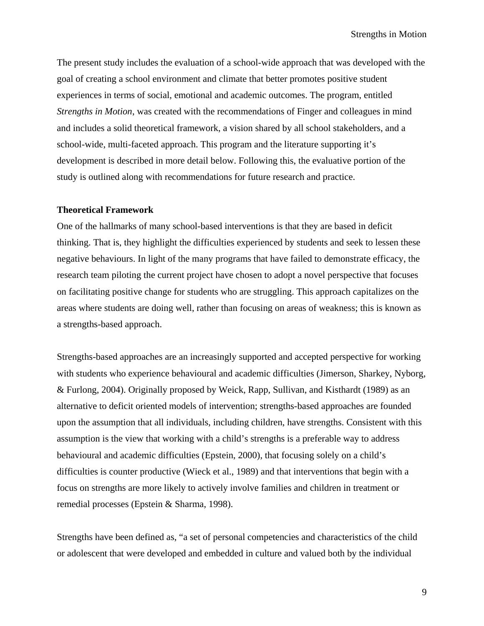The present study includes the evaluation of a school-wide approach that was developed with the goal of creating a school environment and climate that better promotes positive student experiences in terms of social, emotional and academic outcomes. The program, entitled *Strengths in Motion*, was created with the recommendations of Finger and colleagues in mind and includes a solid theoretical framework, a vision shared by all school stakeholders, and a school-wide, multi-faceted approach. This program and the literature supporting it's development is described in more detail below. Following this, the evaluative portion of the study is outlined along with recommendations for future research and practice.

## **Theoretical Framework**

One of the hallmarks of many school-based interventions is that they are based in deficit thinking. That is, they highlight the difficulties experienced by students and seek to lessen these negative behaviours. In light of the many programs that have failed to demonstrate efficacy, the research team piloting the current project have chosen to adopt a novel perspective that focuses on facilitating positive change for students who are struggling. This approach capitalizes on the areas where students are doing well, rather than focusing on areas of weakness; this is known as a strengths-based approach.

Strengths-based approaches are an increasingly supported and accepted perspective for working with students who experience behavioural and academic difficulties (Jimerson, Sharkey, Nyborg, & Furlong, 2004). Originally proposed by Weick, Rapp, Sullivan, and Kisthardt (1989) as an alternative to deficit oriented models of intervention; strengths-based approaches are founded upon the assumption that all individuals, including children, have strengths. Consistent with this assumption is the view that working with a child's strengths is a preferable way to address behavioural and academic difficulties (Epstein, 2000), that focusing solely on a child's difficulties is counter productive (Wieck et al., 1989) and that interventions that begin with a focus on strengths are more likely to actively involve families and children in treatment or remedial processes (Epstein & Sharma, 1998).

Strengths have been defined as, "a set of personal competencies and characteristics of the child or adolescent that were developed and embedded in culture and valued both by the individual

9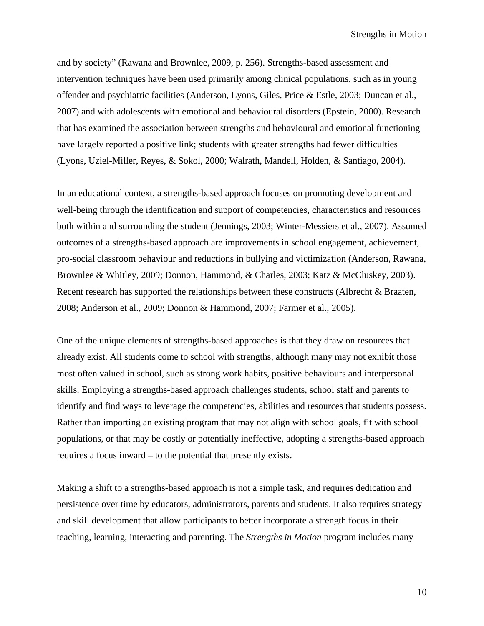and by society" (Rawana and Brownlee, 2009, p. 256). Strengths-based assessment and intervention techniques have been used primarily among clinical populations, such as in young offender and psychiatric facilities (Anderson, Lyons, Giles, Price & Estle, 2003; Duncan et al., 2007) and with adolescents with emotional and behavioural disorders (Epstein, 2000). Research that has examined the association between strengths and behavioural and emotional functioning have largely reported a positive link; students with greater strengths had fewer difficulties (Lyons, Uziel-Miller, Reyes, & Sokol, 2000; Walrath, Mandell, Holden, & Santiago, 2004).

In an educational context, a strengths-based approach focuses on promoting development and well-being through the identification and support of competencies, characteristics and resources both within and surrounding the student (Jennings, 2003; Winter-Messiers et al., 2007). Assumed outcomes of a strengths-based approach are improvements in school engagement, achievement, pro-social classroom behaviour and reductions in bullying and victimization (Anderson, Rawana, Brownlee & Whitley, 2009; Donnon, Hammond, & Charles, 2003; Katz & McCluskey, 2003). Recent research has supported the relationships between these constructs (Albrecht & Braaten, 2008; Anderson et al., 2009; Donnon & Hammond, 2007; Farmer et al., 2005).

One of the unique elements of strengths-based approaches is that they draw on resources that already exist. All students come to school with strengths, although many may not exhibit those most often valued in school, such as strong work habits, positive behaviours and interpersonal skills. Employing a strengths-based approach challenges students, school staff and parents to identify and find ways to leverage the competencies, abilities and resources that students possess. Rather than importing an existing program that may not align with school goals, fit with school populations, or that may be costly or potentially ineffective, adopting a strengths-based approach requires a focus inward – to the potential that presently exists.

Making a shift to a strengths-based approach is not a simple task, and requires dedication and persistence over time by educators, administrators, parents and students. It also requires strategy and skill development that allow participants to better incorporate a strength focus in their teaching, learning, interacting and parenting. The *Strengths in Motion* program includes many

10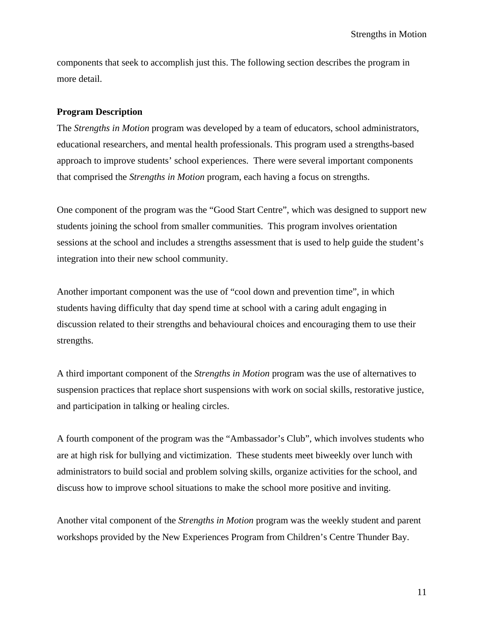components that seek to accomplish just this. The following section describes the program in more detail.

#### **Program Description**

The *Strengths in Motion* program was developed by a team of educators, school administrators, educational researchers, and mental health professionals. This program used a strengths-based approach to improve students' school experiences. There were several important components that comprised the *Strengths in Motion* program, each having a focus on strengths.

One component of the program was the "Good Start Centre", which was designed to support new students joining the school from smaller communities. This program involves orientation sessions at the school and includes a strengths assessment that is used to help guide the student's integration into their new school community.

Another important component was the use of "cool down and prevention time", in which students having difficulty that day spend time at school with a caring adult engaging in discussion related to their strengths and behavioural choices and encouraging them to use their strengths.

A third important component of the *Strengths in Motion* program was the use of alternatives to suspension practices that replace short suspensions with work on social skills, restorative justice, and participation in talking or healing circles.

A fourth component of the program was the "Ambassador's Club", which involves students who are at high risk for bullying and victimization. These students meet biweekly over lunch with administrators to build social and problem solving skills, organize activities for the school, and discuss how to improve school situations to make the school more positive and inviting.

Another vital component of the *Strengths in Motion* program was the weekly student and parent workshops provided by the New Experiences Program from Children's Centre Thunder Bay.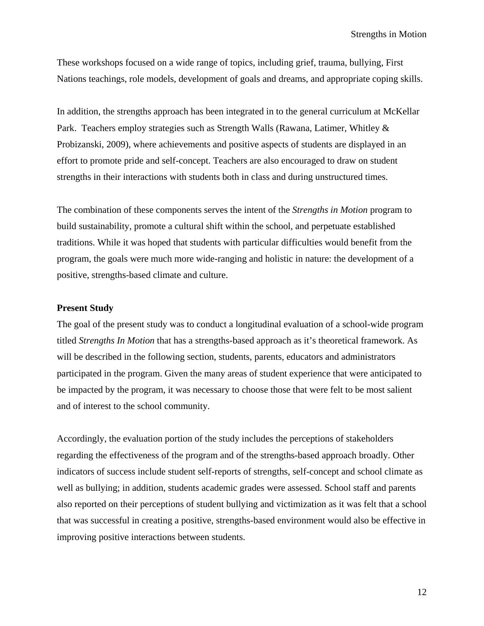These workshops focused on a wide range of topics, including grief, trauma, bullying, First Nations teachings, role models, development of goals and dreams, and appropriate coping skills.

In addition, the strengths approach has been integrated in to the general curriculum at McKellar Park. Teachers employ strategies such as Strength Walls (Rawana, Latimer, Whitley & Probizanski, 2009), where achievements and positive aspects of students are displayed in an effort to promote pride and self-concept. Teachers are also encouraged to draw on student strengths in their interactions with students both in class and during unstructured times.

The combination of these components serves the intent of the *Strengths in Motion* program to build sustainability, promote a cultural shift within the school, and perpetuate established traditions. While it was hoped that students with particular difficulties would benefit from the program, the goals were much more wide-ranging and holistic in nature: the development of a positive, strengths-based climate and culture.

## **Present Study**

The goal of the present study was to conduct a longitudinal evaluation of a school-wide program titled *Strengths In Motion* that has a strengths-based approach as it's theoretical framework. As will be described in the following section, students, parents, educators and administrators participated in the program. Given the many areas of student experience that were anticipated to be impacted by the program, it was necessary to choose those that were felt to be most salient and of interest to the school community.

Accordingly, the evaluation portion of the study includes the perceptions of stakeholders regarding the effectiveness of the program and of the strengths-based approach broadly. Other indicators of success include student self-reports of strengths, self-concept and school climate as well as bullying; in addition, students academic grades were assessed. School staff and parents also reported on their perceptions of student bullying and victimization as it was felt that a school that was successful in creating a positive, strengths-based environment would also be effective in improving positive interactions between students.

12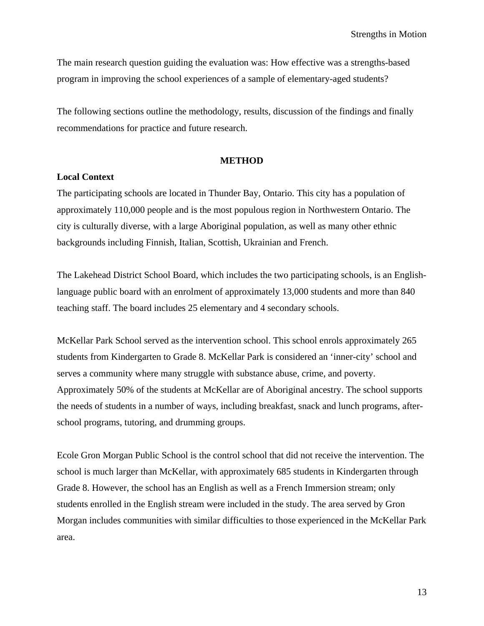The main research question guiding the evaluation was: How effective was a strengths-based program in improving the school experiences of a sample of elementary-aged students?

The following sections outline the methodology, results, discussion of the findings and finally recommendations for practice and future research.

#### **METHOD**

## **Local Context**

The participating schools are located in Thunder Bay, Ontario. This city has a population of approximately 110,000 people and is the most populous region in Northwestern Ontario. The city is culturally diverse, with a large Aboriginal population, as well as many other ethnic backgrounds including Finnish, Italian, Scottish, Ukrainian and French.

The Lakehead District School Board, which includes the two participating schools, is an Englishlanguage public board with an enrolment of approximately 13,000 students and more than 840 teaching staff. The board includes 25 elementary and 4 secondary schools.

McKellar Park School served as the intervention school. This school enrols approximately 265 students from Kindergarten to Grade 8. McKellar Park is considered an 'inner-city' school and serves a community where many struggle with substance abuse, crime, and poverty. Approximately 50% of the students at McKellar are of Aboriginal ancestry. The school supports the needs of students in a number of ways, including breakfast, snack and lunch programs, afterschool programs, tutoring, and drumming groups.

Ecole Gron Morgan Public School is the control school that did not receive the intervention. The school is much larger than McKellar, with approximately 685 students in Kindergarten through Grade 8. However, the school has an English as well as a French Immersion stream; only students enrolled in the English stream were included in the study. The area served by Gron Morgan includes communities with similar difficulties to those experienced in the McKellar Park area.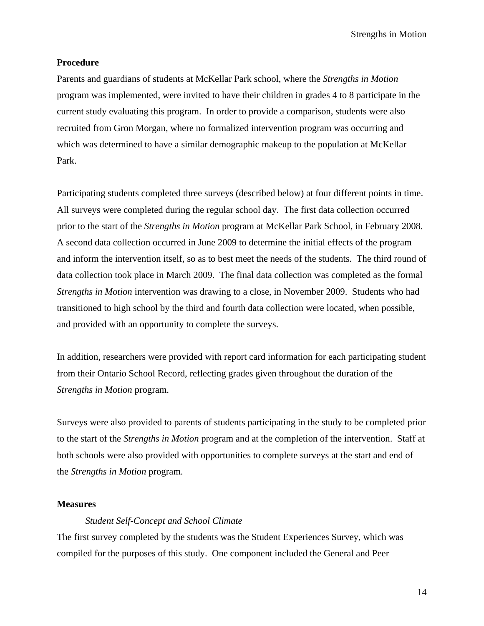## **Procedure**

Parents and guardians of students at McKellar Park school, where the *Strengths in Motion* program was implemented, were invited to have their children in grades 4 to 8 participate in the current study evaluating this program. In order to provide a comparison, students were also recruited from Gron Morgan, where no formalized intervention program was occurring and which was determined to have a similar demographic makeup to the population at McKellar Park.

Participating students completed three surveys (described below) at four different points in time. All surveys were completed during the regular school day. The first data collection occurred prior to the start of the *Strengths in Motion* program at McKellar Park School, in February 2008. A second data collection occurred in June 2009 to determine the initial effects of the program and inform the intervention itself, so as to best meet the needs of the students. The third round of data collection took place in March 2009. The final data collection was completed as the formal *Strengths in Motion* intervention was drawing to a close, in November 2009. Students who had transitioned to high school by the third and fourth data collection were located, when possible, and provided with an opportunity to complete the surveys.

In addition, researchers were provided with report card information for each participating student from their Ontario School Record, reflecting grades given throughout the duration of the *Strengths in Motion* program.

Surveys were also provided to parents of students participating in the study to be completed prior to the start of the *Strengths in Motion* program and at the completion of the intervention. Staff at both schools were also provided with opportunities to complete surveys at the start and end of the *Strengths in Motion* program.

# **Measures**

## *Student Self-Concept and School Climate*

The first survey completed by the students was the Student Experiences Survey, which was compiled for the purposes of this study. One component included the General and Peer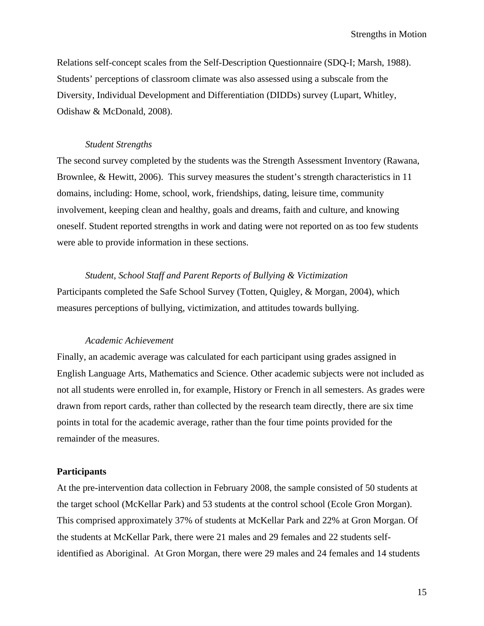Relations self-concept scales from the Self-Description Questionnaire (SDQ-I; Marsh, 1988). Students' perceptions of classroom climate was also assessed using a subscale from the Diversity, Individual Development and Differentiation (DIDDs) survey (Lupart, Whitley, Odishaw & McDonald, 2008).

#### *Student Strengths*

The second survey completed by the students was the Strength Assessment Inventory (Rawana, Brownlee, & Hewitt, 2006). This survey measures the student's strength characteristics in 11 domains, including: Home, school, work, friendships, dating, leisure time, community involvement, keeping clean and healthy, goals and dreams, faith and culture, and knowing oneself. Student reported strengths in work and dating were not reported on as too few students were able to provide information in these sections.

## *Student, School Staff and Parent Reports of Bullying & Victimization*

Participants completed the Safe School Survey (Totten, Quigley, & Morgan, 2004), which measures perceptions of bullying, victimization, and attitudes towards bullying.

## *Academic Achievement*

Finally, an academic average was calculated for each participant using grades assigned in English Language Arts, Mathematics and Science. Other academic subjects were not included as not all students were enrolled in, for example, History or French in all semesters. As grades were drawn from report cards, rather than collected by the research team directly, there are six time points in total for the academic average, rather than the four time points provided for the remainder of the measures.

#### **Participants**

At the pre-intervention data collection in February 2008, the sample consisted of 50 students at the target school (McKellar Park) and 53 students at the control school (Ecole Gron Morgan). This comprised approximately 37% of students at McKellar Park and 22% at Gron Morgan. Of the students at McKellar Park, there were 21 males and 29 females and 22 students selfidentified as Aboriginal. At Gron Morgan, there were 29 males and 24 females and 14 students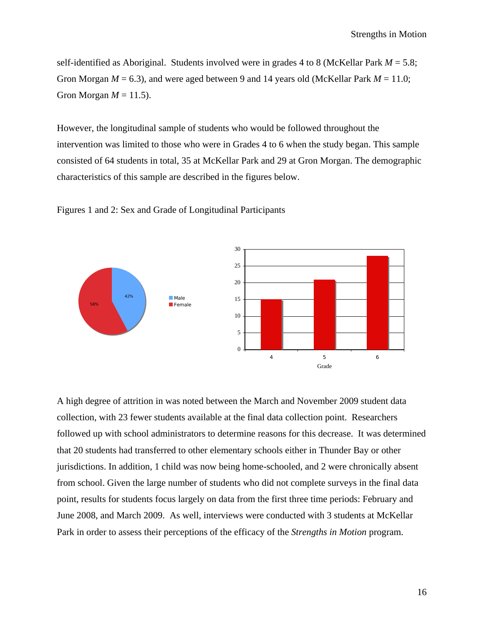self-identified as Aboriginal. Students involved were in grades 4 to 8 (McKellar Park *M* = 5.8; Gron Morgan  $M = 6.3$ ), and were aged between 9 and 14 years old (McKellar Park  $M = 11.0$ ; Gron Morgan  $M = 11.5$ ).

However, the longitudinal sample of students who would be followed throughout the intervention was limited to those who were in Grades 4 to 6 when the study began. This sample consisted of 64 students in total, 35 at McKellar Park and 29 at Gron Morgan. The demographic characteristics of this sample are described in the figures below.

Figures 1 and 2: Sex and Grade of Longitudinal Participants



A high degree of attrition in was noted between the March and November 2009 student data collection, with 23 fewer students available at the final data collection point. Researchers followed up with school administrators to determine reasons for this decrease. It was determined that 20 students had transferred to other elementary schools either in Thunder Bay or other jurisdictions. In addition, 1 child was now being home-schooled, and 2 were chronically absent from school. Given the large number of students who did not complete surveys in the final data point, results for students focus largely on data from the first three time periods: February and June 2008, and March 2009. As well, interviews were conducted with 3 students at McKellar Park in order to assess their perceptions of the efficacy of the *Strengths in Motion* program.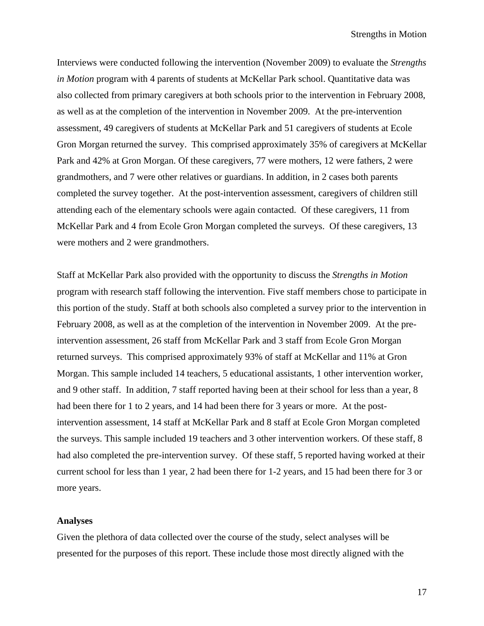Interviews were conducted following the intervention (November 2009) to evaluate the *Strengths in Motion* program with 4 parents of students at McKellar Park school. Quantitative data was also collected from primary caregivers at both schools prior to the intervention in February 2008, as well as at the completion of the intervention in November 2009. At the pre-intervention assessment, 49 caregivers of students at McKellar Park and 51 caregivers of students at Ecole Gron Morgan returned the survey. This comprised approximately 35% of caregivers at McKellar Park and 42% at Gron Morgan. Of these caregivers, 77 were mothers, 12 were fathers, 2 were grandmothers, and 7 were other relatives or guardians. In addition, in 2 cases both parents completed the survey together. At the post-intervention assessment, caregivers of children still attending each of the elementary schools were again contacted. Of these caregivers, 11 from McKellar Park and 4 from Ecole Gron Morgan completed the surveys. Of these caregivers, 13 were mothers and 2 were grandmothers.

Staff at McKellar Park also provided with the opportunity to discuss the *Strengths in Motion* program with research staff following the intervention. Five staff members chose to participate in this portion of the study. Staff at both schools also completed a survey prior to the intervention in February 2008, as well as at the completion of the intervention in November 2009. At the preintervention assessment, 26 staff from McKellar Park and 3 staff from Ecole Gron Morgan returned surveys. This comprised approximately 93% of staff at McKellar and 11% at Gron Morgan. This sample included 14 teachers, 5 educational assistants, 1 other intervention worker, and 9 other staff. In addition, 7 staff reported having been at their school for less than a year, 8 had been there for 1 to 2 years, and 14 had been there for 3 years or more. At the postintervention assessment, 14 staff at McKellar Park and 8 staff at Ecole Gron Morgan completed the surveys. This sample included 19 teachers and 3 other intervention workers. Of these staff, 8 had also completed the pre-intervention survey. Of these staff, 5 reported having worked at their current school for less than 1 year, 2 had been there for 1-2 years, and 15 had been there for 3 or more years.

## **Analyses**

Given the plethora of data collected over the course of the study, select analyses will be presented for the purposes of this report. These include those most directly aligned with the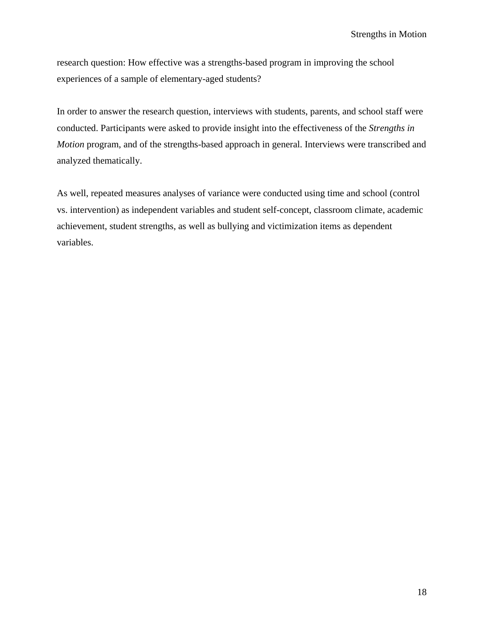research question: How effective was a strengths-based program in improving the school experiences of a sample of elementary-aged students?

In order to answer the research question, interviews with students, parents, and school staff were conducted. Participants were asked to provide insight into the effectiveness of the *Strengths in Motion* program, and of the strengths-based approach in general. Interviews were transcribed and analyzed thematically.

As well, repeated measures analyses of variance were conducted using time and school (control vs. intervention) as independent variables and student self-concept, classroom climate, academic achievement, student strengths, as well as bullying and victimization items as dependent variables.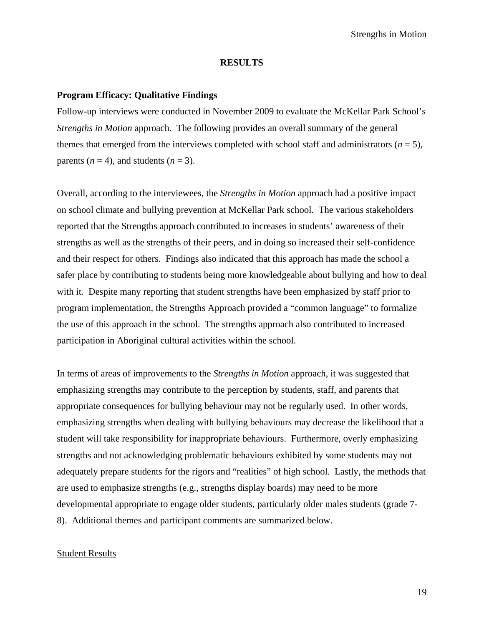#### **RESULTS**

#### **Program Efficacy: Qualitative Findings**

Follow-up interviews were conducted in November 2009 to evaluate the McKellar Park School's *Strengths in Motion* approach. The following provides an overall summary of the general themes that emerged from the interviews completed with school staff and administrators ( $n = 5$ ), parents  $(n = 4)$ , and students  $(n = 3)$ .

Overall, according to the interviewees, the *Strengths in Motion* approach had a positive impact on school climate and bullying prevention at McKellar Park school. The various stakeholders reported that the Strengths approach contributed to increases in students' awareness of their strengths as well as the strengths of their peers, and in doing so increased their self-confidence and their respect for others. Findings also indicated that this approach has made the school a safer place by contributing to students being more knowledgeable about bullying and how to deal with it. Despite many reporting that student strengths have been emphasized by staff prior to program implementation, the Strengths Approach provided a "common language" to formalize the use of this approach in the school. The strengths approach also contributed to increased participation in Aboriginal cultural activities within the school.

In terms of areas of improvements to the *Strengths in Motion* approach, it was suggested that emphasizing strengths may contribute to the perception by students, staff, and parents that appropriate consequences for bullying behaviour may not be regularly used. In other words, emphasizing strengths when dealing with bullying behaviours may decrease the likelihood that a student will take responsibility for inappropriate behaviours. Furthermore, overly emphasizing strengths and not acknowledging problematic behaviours exhibited by some students may not adequately prepare students for the rigors and "realities" of high school. Lastly, the methods that are used to emphasize strengths (e.g., strengths display boards) may need to be more developmental appropriate to engage older students, particularly older males students (grade 7- 8). Additional themes and participant comments are summarized below.

## Student Results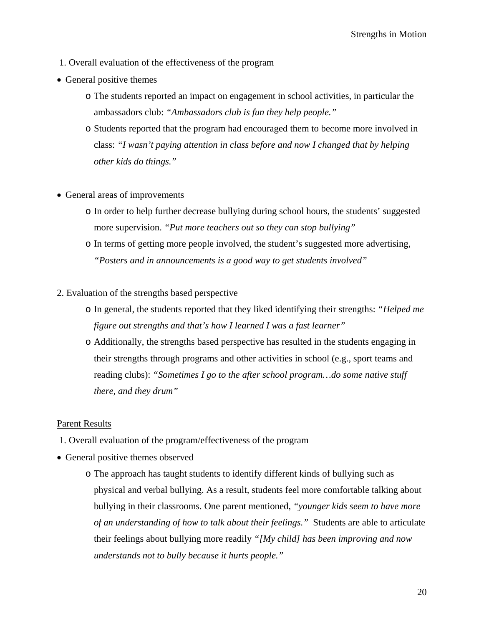- 1. Overall evaluation of the effectiveness of the program
- General positive themes
	- o The students reported an impact on engagement in school activities, in particular the ambassadors club: *"Ambassadors club is fun they help people."*
	- o Students reported that the program had encouraged them to become more involved in class: *"I wasn't paying attention in class before and now I changed that by helping other kids do things."*
- General areas of improvements
	- o In order to help further decrease bullying during school hours, the students' suggested more supervision. *"Put more teachers out so they can stop bullying"*
	- o In terms of getting more people involved, the student's suggested more advertising, *"Posters and in announcements is a good way to get students involved"*
- 2. Evaluation of the strengths based perspective
	- o In general, the students reported that they liked identifying their strengths: *"Helped me figure out strengths and that's how I learned I was a fast learner"*
	- o Additionally, the strengths based perspective has resulted in the students engaging in their strengths through programs and other activities in school (e.g., sport teams and reading clubs): *"Sometimes I go to the after school program…do some native stuff there, and they drum"*

## Parent Results

- 1. Overall evaluation of the program/effectiveness of the program
- General positive themes observed
	- o The approach has taught students to identify different kinds of bullying such as physical and verbal bullying. As a result, students feel more comfortable talking about bullying in their classrooms. One parent mentioned, *"younger kids seem to have more of an understanding of how to talk about their feelings."* Students are able to articulate their feelings about bullying more readily *"[My child] has been improving and now understands not to bully because it hurts people."*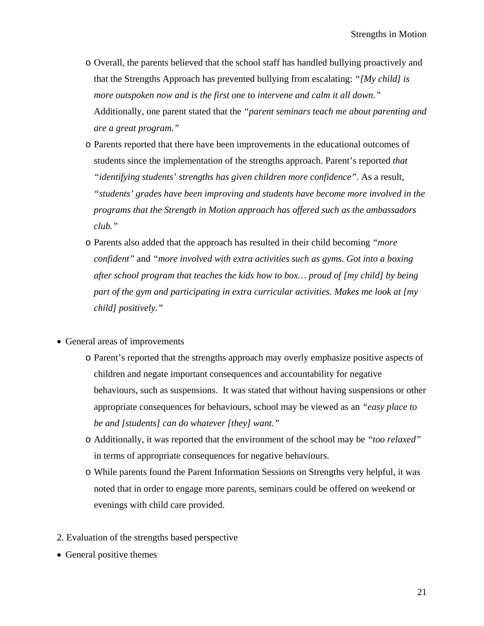- o Overall, the parents believed that the school staff has handled bullying proactively and that the Strengths Approach has prevented bullying from escalating: *"[My child] is more outspoken now and is the first one to intervene and calm it all down."* Additionally, one parent stated that the *"parent seminars teach me about parenting and are a great program."*
- o Parents reported that there have been improvements in the educational outcomes of students since the implementation of the strengths approach. Parent's reported *that "identifying students' strengths has given children more confidence"*. As a result, *"students' grades have been improving and students have become more involved in the programs that the Strength in Motion approach has offered such as the ambassadors club."*
- o Parents also added that the approach has resulted in their child becoming *"more confident"* and *"more involved with extra activities such as gyms. Got into a boxing after school program that teaches the kids how to box… proud of [my child] by being part of the gym and participating in extra curricular activities. Makes me look at [my child] positively."*
- General areas of improvements
	- o Parent's reported that the strengths approach may overly emphasize positive aspects of children and negate important consequences and accountability for negative behaviours, such as suspensions. It was stated that without having suspensions or other appropriate consequences for behaviours, school may be viewed as an *"easy place to be and [students] can do whatever [they] want."*
	- o Additionally, it was reported that the environment of the school may be *"too relaxed"* in terms of appropriate consequences for negative behaviours.
	- o While parents found the Parent Information Sessions on Strengths very helpful, it was noted that in order to engage more parents, seminars could be offered on weekend or evenings with child care provided.
- 2. Evaluation of the strengths based perspective
- General positive themes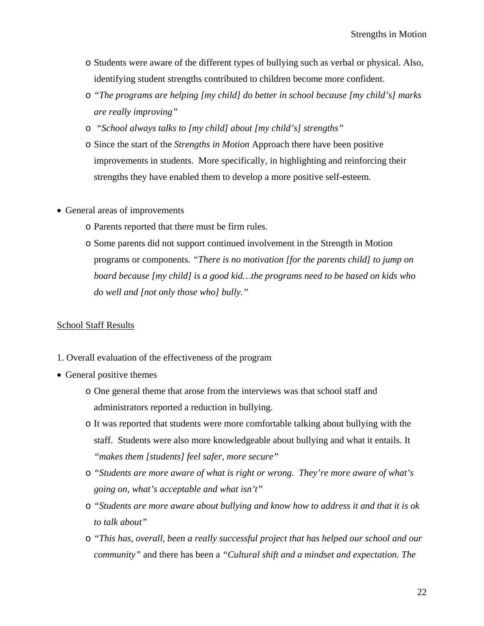- o Students were aware of the different types of bullying such as verbal or physical. Also, identifying student strengths contributed to children become more confident.
- o *"The programs are helping [my child] do better in school because [my child's] marks are really improving"*
- o *"School always talks to [my child] about [my child's] strengths"*
- o Since the start of the *Strengths in Motion* Approach there have been positive improvements in students. More specifically, in highlighting and reinforcing their strengths they have enabled them to develop a more positive self-esteem.
- General areas of improvements
	- o Parents reported that there must be firm rules.
	- o Some parents did not support continued involvement in the Strength in Motion programs or components*. "There is no motivation [for the parents child] to jump on board because [my child] is a good kid…the programs need to be based on kids who do well and [not only those who] bully."*

# School Staff Results

- 1. Overall evaluation of the effectiveness of the program
- General positive themes
	- o One general theme that arose from the interviews was that school staff and administrators reported a reduction in bullying.
	- o It was reported that students were more comfortable talking about bullying with the staff. Students were also more knowledgeable about bullying and what it entails. It *"makes them [students] feel safer, more secure"*
	- o *"Students are more aware of what is right or wrong. They're more aware of what's going on, what's acceptable and what isn't"*
	- o *"Students are more aware about bullying and know how to address it and that it is ok to talk about"*
	- o *"This has, overall, been a really successful project that has helped our school and our community"* and there has been a *"Cultural shift and a mindset and expectation. The*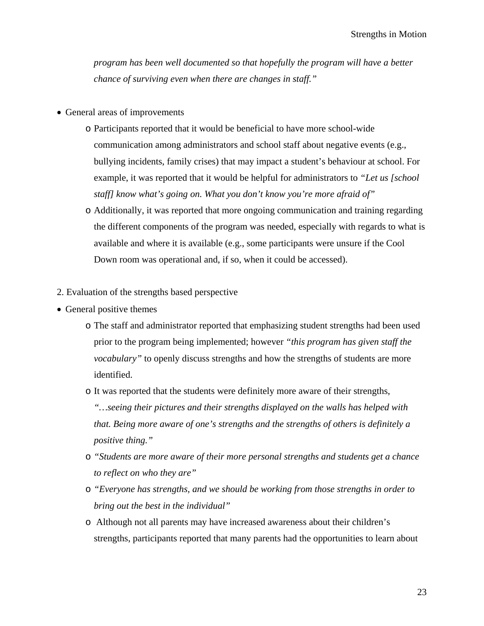*program has been well documented so that hopefully the program will have a better chance of surviving even when there are changes in staff."*

- General areas of improvements
	- o Participants reported that it would be beneficial to have more school-wide communication among administrators and school staff about negative events (e.g., bullying incidents, family crises) that may impact a student's behaviour at school. For example, it was reported that it would be helpful for administrators to *"Let us [school staff] know what's going on. What you don't know you're more afraid of"*
	- o Additionally, it was reported that more ongoing communication and training regarding the different components of the program was needed, especially with regards to what is available and where it is available (e.g., some participants were unsure if the Cool Down room was operational and, if so, when it could be accessed).
- 2. Evaluation of the strengths based perspective
- General positive themes
	- o The staff and administrator reported that emphasizing student strengths had been used prior to the program being implemented; however *"this program has given staff the vocabulary"* to openly discuss strengths and how the strengths of students are more identified.
	- o It was reported that the students were definitely more aware of their strengths, *"…seeing their pictures and their strengths displayed on the walls has helped with that. Being more aware of one's strengths and the strengths of others is definitely a positive thing."*
	- o *"Students are more aware of their more personal strengths and students get a chance to reflect on who they are"*
	- o *"Everyone has strengths, and we should be working from those strengths in order to bring out the best in the individual"*
	- o Although not all parents may have increased awareness about their children's strengths, participants reported that many parents had the opportunities to learn about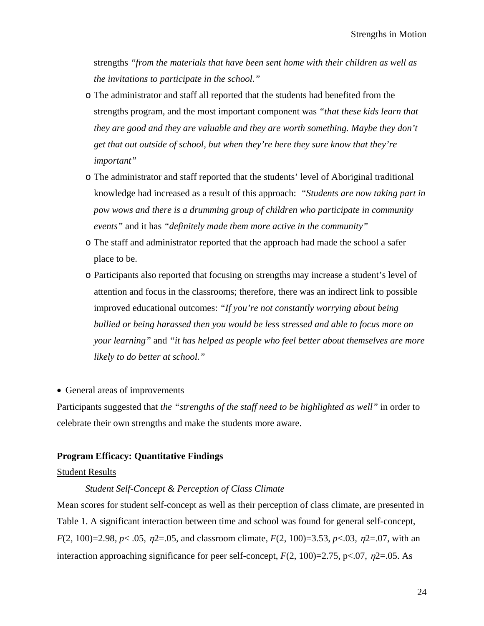strengths *"from the materials that have been sent home with their children as well as the invitations to participate in the school."*

- o The administrator and staff all reported that the students had benefited from the strengths program, and the most important component was *"that these kids learn that they are good and they are valuable and they are worth something. Maybe they don't get that out outside of school, but when they're here they sure know that they're important"*
- o The administrator and staff reported that the students' level of Aboriginal traditional knowledge had increased as a result of this approach: *"Students are now taking part in pow wows and there is a drumming group of children who participate in community events"* and it has *"definitely made them more active in the community"*
- o The staff and administrator reported that the approach had made the school a safer place to be.
- o Participants also reported that focusing on strengths may increase a student's level of attention and focus in the classrooms; therefore, there was an indirect link to possible improved educational outcomes: *"If you're not constantly worrying about being bullied or being harassed then you would be less stressed and able to focus more on your learning"* and *"it has helped as people who feel better about themselves are more likely to do better at school."*
- General areas of improvements

Participants suggested that *the "strengths of the staff need to be highlighted as well"* in order to celebrate their own strengths and make the students more aware.

## **Program Efficacy: Quantitative Findings**

#### Student Results

## *Student Self-Concept & Perception of Class Climate*

Mean scores for student self-concept as well as their perception of class climate, are presented in Table 1. A significant interaction between time and school was found for general self-concept, *F*(2, 100)=2.98,  $p$ < .05,  $\eta$ 2=.05, and classroom climate, *F*(2, 100)=3.53,  $p$ <.03,  $\eta$ 2=.07, with an interaction approaching significance for peer self-concept,  $F(2, 100) = 2.75$ , p $\lt 0.07$ ,  $\eta$ 2=.05. As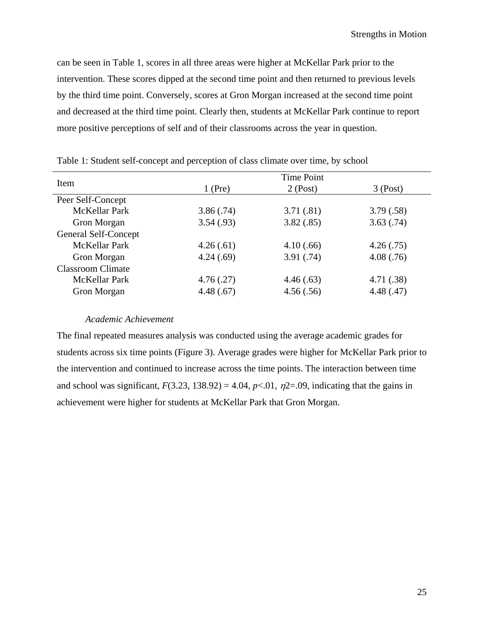can be seen in Table 1, scores in all three areas were higher at McKellar Park prior to the intervention. These scores dipped at the second time point and then returned to previous levels by the third time point. Conversely, scores at Gron Morgan increased at the second time point and decreased at the third time point. Clearly then, students at McKellar Park continue to report more positive perceptions of self and of their classrooms across the year in question.

|                             | <b>Time Point</b> |            |            |  |
|-----------------------------|-------------------|------------|------------|--|
| Item                        | $1$ (Pre)         | $2$ (Post) | $3$ (Post) |  |
| Peer Self-Concept           |                   |            |            |  |
| <b>McKellar Park</b>        | 3.86(.74)         | 3.71(.81)  | 3.79(.58)  |  |
| Gron Morgan                 | 3.54(.93)         | 3.82(.85)  | 3.63(.74)  |  |
| <b>General Self-Concept</b> |                   |            |            |  |
| <b>McKellar Park</b>        | 4.26(.61)         | 4.10(.66)  | 4.26(.75)  |  |
| Gron Morgan                 | 4.24(.69)         | 3.91(.74)  | 4.08(.76)  |  |
| <b>Classroom Climate</b>    |                   |            |            |  |
| <b>McKellar Park</b>        | 4.76(.27)         | 4.46(.63)  | 4.71 (.38) |  |
| Gron Morgan                 | 4.48(.67)         | 4.56(.56)  | 4.48(.47)  |  |

Table 1: Student self-concept and perception of class climate over time, by school

## *Academic Achievement*

The final repeated measures analysis was conducted using the average academic grades for students across six time points (Figure 3). Average grades were higher for McKellar Park prior to the intervention and continued to increase across the time points. The interaction between time and school was significant,  $F(3.23, 138.92) = 4.04$ ,  $p<.01$ ,  $\eta$ 2=.09, indicating that the gains in achievement were higher for students at McKellar Park that Gron Morgan.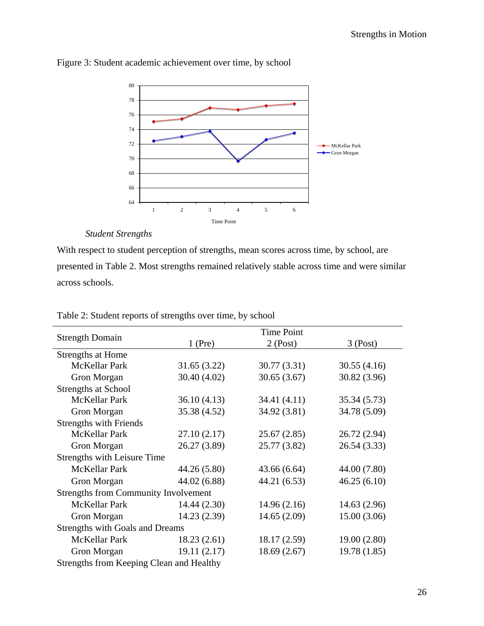

Figure 3: Student academic achievement over time, by school

# *Student Strengths*

With respect to student perception of strengths, mean scores across time, by school, are presented in Table 2. Most strengths remained relatively stable across time and were similar across schools.

| <b>Strength Domain</b>                      | $1$ (Pre)    | $2$ (Post)   | 3 (Post)     |  |
|---------------------------------------------|--------------|--------------|--------------|--|
| Strengths at Home                           |              |              |              |  |
| <b>McKellar Park</b>                        | 31.65(3.22)  | 30.77 (3.31) | 30.55(4.16)  |  |
| Gron Morgan                                 | 30.40 (4.02) | 30.65(3.67)  | 30.82 (3.96) |  |
| <b>Strengths at School</b>                  |              |              |              |  |
| <b>McKellar Park</b>                        | 36.10(4.13)  | 34.41 (4.11) | 35.34 (5.73) |  |
| Gron Morgan                                 | 35.38 (4.52) | 34.92 (3.81) | 34.78 (5.09) |  |
| <b>Strengths with Friends</b>               |              |              |              |  |
| <b>McKellar Park</b>                        | 27.10(2.17)  | 25.67(2.85)  | 26.72 (2.94) |  |
| Gron Morgan                                 | 26.27 (3.89) | 25.77 (3.82) | 26.54 (3.33) |  |
| <b>Strengths with Leisure Time</b>          |              |              |              |  |
| <b>McKellar Park</b>                        | 44.26 (5.80) | 43.66(6.64)  | 44.00 (7.80) |  |
| Gron Morgan                                 | 44.02 (6.88) | 44.21 (6.53) | 46.25(6.10)  |  |
| <b>Strengths from Community Involvement</b> |              |              |              |  |
| <b>McKellar Park</b>                        | 14.44(2.30)  | 14.96(2.16)  | 14.63 (2.96) |  |
| Gron Morgan                                 | 14.23(2.39)  | 14.65(2.09)  | 15.00(3.06)  |  |
| <b>Strengths with Goals and Dreams</b>      |              |              |              |  |
| <b>McKellar Park</b>                        | 18.23(2.61)  | 18.17(2.59)  | 19.00(2.80)  |  |
| Gron Morgan                                 | 19.11(2.17)  | 18.69(2.67)  | 19.78 (1.85) |  |
| Strengths from Keeping Clean and Healthy    |              |              |              |  |

Table 2: Student reports of strengths over time, by school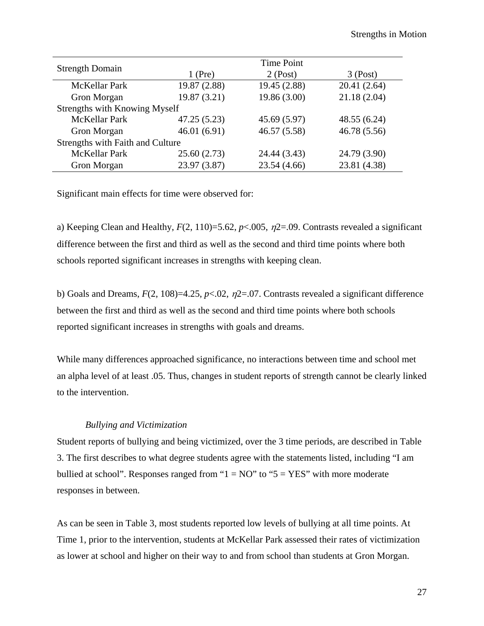|                                      | Time Point   |              |              |  |
|--------------------------------------|--------------|--------------|--------------|--|
| <b>Strength Domain</b>               | $1$ (Pre)    | $2$ (Post)   | $3$ (Post)   |  |
| McKellar Park                        | 19.87 (2.88) | 19.45 (2.88) | 20.41(2.64)  |  |
| Gron Morgan                          | 19.87 (3.21) | 19.86(3.00)  | 21.18(2.04)  |  |
| <b>Strengths with Knowing Myself</b> |              |              |              |  |
| <b>McKellar Park</b>                 | 47.25(5.23)  | 45.69 (5.97) | 48.55 (6.24) |  |
| Gron Morgan                          | 46.01(6.91)  | 46.57(5.58)  | 46.78 (5.56) |  |
| Strengths with Faith and Culture     |              |              |              |  |
| <b>McKellar Park</b>                 | 25.60(2.73)  | 24.44 (3.43) | 24.79 (3.90) |  |
| Gron Morgan                          | 23.97 (3.87) | 23.54 (4.66) | 23.81 (4.38) |  |

Significant main effects for time were observed for:

a) Keeping Clean and Healthy,  $F(2, 110)=5.62$ ,  $p<.005$ ,  $\eta$ 2=.09. Contrasts revealed a significant difference between the first and third as well as the second and third time points where both schools reported significant increases in strengths with keeping clean.

b) Goals and Dreams,  $F(2, 108)=4.25$ ,  $p<.02$ ,  $\eta$ 2=.07. Contrasts revealed a significant difference between the first and third as well as the second and third time points where both schools reported significant increases in strengths with goals and dreams.

While many differences approached significance, no interactions between time and school met an alpha level of at least .05. Thus, changes in student reports of strength cannot be clearly linked to the intervention.

# *Bullying and Victimization*

Student reports of bullying and being victimized, over the 3 time periods, are described in Table 3. The first describes to what degree students agree with the statements listed, including "I am bullied at school". Responses ranged from " $1 = NO$ " to " $5 = YES$ " with more moderate responses in between.

As can be seen in Table 3, most students reported low levels of bullying at all time points. At Time 1, prior to the intervention, students at McKellar Park assessed their rates of victimization as lower at school and higher on their way to and from school than students at Gron Morgan.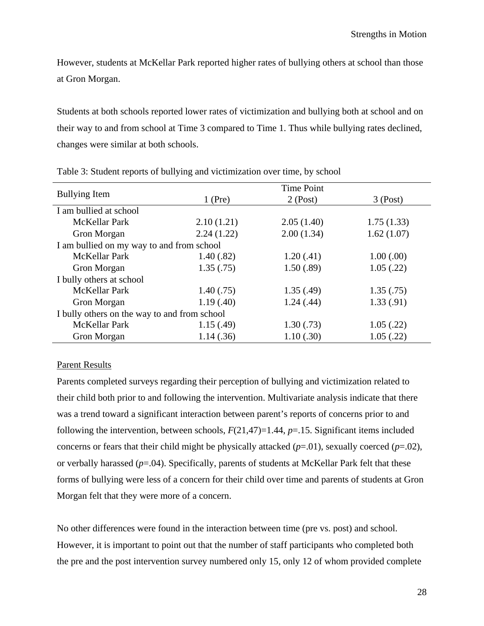However, students at McKellar Park reported higher rates of bullying others at school than those at Gron Morgan.

Students at both schools reported lower rates of victimization and bullying both at school and on their way to and from school at Time 3 compared to Time 1. Thus while bullying rates declined, changes were similar at both schools.

|                                              | <b>Time Point</b> |            |            |  |  |
|----------------------------------------------|-------------------|------------|------------|--|--|
| <b>Bullying Item</b>                         | $1$ (Pre)         | $2$ (Post) | $3$ (Post) |  |  |
| I am bullied at school                       |                   |            |            |  |  |
| McKellar Park                                | 2.10(1.21)        | 2.05(1.40) | 1.75(1.33) |  |  |
| Gron Morgan                                  | 2.24(1.22)        | 2.00(1.34) | 1.62(1.07) |  |  |
| I am bullied on my way to and from school    |                   |            |            |  |  |
| McKellar Park                                | 1.40(.82)         | 1.20(.41)  | 1.00(.00)  |  |  |
| Gron Morgan                                  | 1.35(.75)         | 1.50(.89)  | 1.05(.22)  |  |  |
| I bully others at school                     |                   |            |            |  |  |
| <b>McKellar Park</b>                         | 1.40(.75)         | 1.35(.49)  | 1.35(.75)  |  |  |
| Gron Morgan                                  | 1.19(0.40)        | 1.24(0.44) | 1.33(.91)  |  |  |
| I bully others on the way to and from school |                   |            |            |  |  |
| McKellar Park                                | 1.15(.49)         | 1.30(.73)  | 1.05(.22)  |  |  |
| Gron Morgan                                  | 1.14(.36)         | 1.10(.30)  | 1.05(.22)  |  |  |

| Table 3: Student reports of bullying and victimization over time, by school |  |  |
|-----------------------------------------------------------------------------|--|--|
|                                                                             |  |  |

# Parent Results

Parents completed surveys regarding their perception of bullying and victimization related to their child both prior to and following the intervention. Multivariate analysis indicate that there was a trend toward a significant interaction between parent's reports of concerns prior to and following the intervention, between schools, *F*(21,47)=1.44, *p*=.15. Significant items included concerns or fears that their child might be physically attacked  $(p=0.01)$ , sexually coerced  $(p=0.02)$ , or verbally harassed (*p*=.04). Specifically, parents of students at McKellar Park felt that these forms of bullying were less of a concern for their child over time and parents of students at Gron Morgan felt that they were more of a concern.

No other differences were found in the interaction between time (pre vs. post) and school. However, it is important to point out that the number of staff participants who completed both the pre and the post intervention survey numbered only 15, only 12 of whom provided complete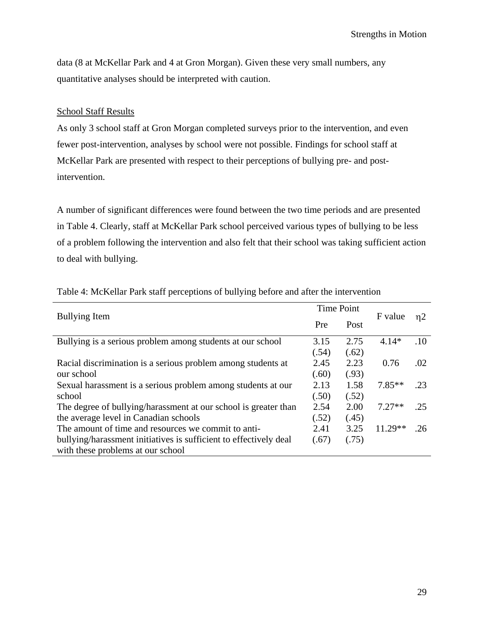data (8 at McKellar Park and 4 at Gron Morgan). Given these very small numbers, any quantitative analyses should be interpreted with caution.

## School Staff Results

As only 3 school staff at Gron Morgan completed surveys prior to the intervention, and even fewer post-intervention, analyses by school were not possible. Findings for school staff at McKellar Park are presented with respect to their perceptions of bullying pre- and postintervention.

A number of significant differences were found between the two time periods and are presented in Table 4. Clearly, staff at McKellar Park school perceived various types of bullying to be less of a problem following the intervention and also felt that their school was taking sufficient action to deal with bullying.

| <b>Bullying Item</b>                                              |       | <b>Time Point</b> |           |          |
|-------------------------------------------------------------------|-------|-------------------|-----------|----------|
|                                                                   |       | Post              | F value   | $\eta$ 2 |
| Bullying is a serious problem among students at our school        | 3.15  | 2.75              | $4.14*$   | $.10 \,$ |
|                                                                   | (.54) | (.62)             |           |          |
| Racial discrimination is a serious problem among students at      | 2.45  | 2.23              | 0.76      | .02      |
| our school                                                        | (.60) | (.93)             |           |          |
| Sexual harassment is a serious problem among students at our      | 2.13  | 1.58              | $7.85**$  | .23      |
| school                                                            | (.50) | (.52)             |           |          |
| The degree of bullying/harassment at our school is greater than   | 2.54  | 2.00              | $7.27**$  | .25      |
| the average level in Canadian schools                             | (.52) | (.45)             |           |          |
| The amount of time and resources we commit to anti-               | 2.41  | 3.25              | $11.29**$ | .26      |
| bullying/harassment initiatives is sufficient to effectively deal | (.67) | (.75)             |           |          |
| with these problems at our school                                 |       |                   |           |          |
|                                                                   |       |                   |           |          |

Table 4: McKellar Park staff perceptions of bullying before and after the intervention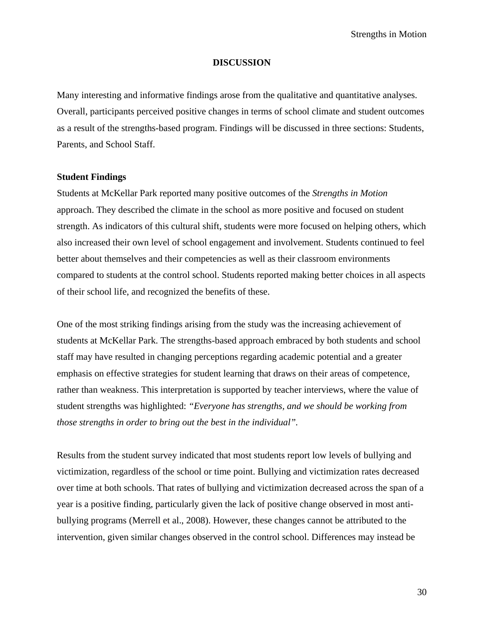## **DISCUSSION**

Many interesting and informative findings arose from the qualitative and quantitative analyses. Overall, participants perceived positive changes in terms of school climate and student outcomes as a result of the strengths-based program. Findings will be discussed in three sections: Students, Parents, and School Staff.

#### **Student Findings**

Students at McKellar Park reported many positive outcomes of the *Strengths in Motion* approach. They described the climate in the school as more positive and focused on student strength. As indicators of this cultural shift, students were more focused on helping others, which also increased their own level of school engagement and involvement. Students continued to feel better about themselves and their competencies as well as their classroom environments compared to students at the control school. Students reported making better choices in all aspects of their school life, and recognized the benefits of these.

One of the most striking findings arising from the study was the increasing achievement of students at McKellar Park. The strengths-based approach embraced by both students and school staff may have resulted in changing perceptions regarding academic potential and a greater emphasis on effective strategies for student learning that draws on their areas of competence, rather than weakness. This interpretation is supported by teacher interviews, where the value of student strengths was highlighted: *"Everyone has strengths, and we should be working from those strengths in order to bring out the best in the individual".*

Results from the student survey indicated that most students report low levels of bullying and victimization, regardless of the school or time point. Bullying and victimization rates decreased over time at both schools. That rates of bullying and victimization decreased across the span of a year is a positive finding, particularly given the lack of positive change observed in most antibullying programs (Merrell et al., 2008). However, these changes cannot be attributed to the intervention, given similar changes observed in the control school. Differences may instead be

30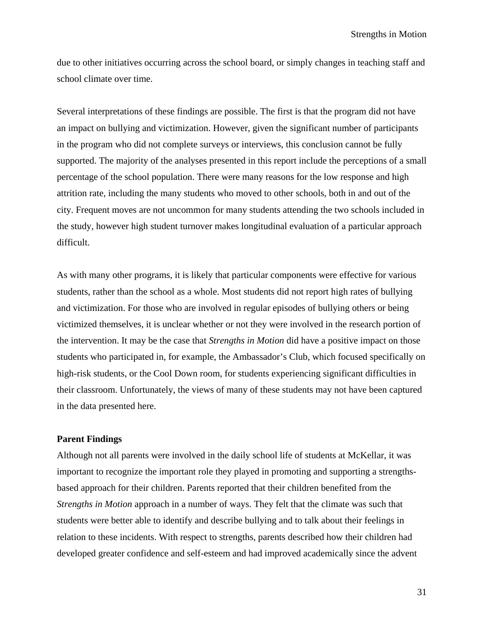due to other initiatives occurring across the school board, or simply changes in teaching staff and school climate over time.

Several interpretations of these findings are possible. The first is that the program did not have an impact on bullying and victimization. However, given the significant number of participants in the program who did not complete surveys or interviews, this conclusion cannot be fully supported. The majority of the analyses presented in this report include the perceptions of a small percentage of the school population. There were many reasons for the low response and high attrition rate, including the many students who moved to other schools, both in and out of the city. Frequent moves are not uncommon for many students attending the two schools included in the study, however high student turnover makes longitudinal evaluation of a particular approach difficult.

As with many other programs, it is likely that particular components were effective for various students, rather than the school as a whole. Most students did not report high rates of bullying and victimization. For those who are involved in regular episodes of bullying others or being victimized themselves, it is unclear whether or not they were involved in the research portion of the intervention. It may be the case that *Strengths in Motion* did have a positive impact on those students who participated in, for example, the Ambassador's Club, which focused specifically on high-risk students, or the Cool Down room, for students experiencing significant difficulties in their classroom. Unfortunately, the views of many of these students may not have been captured in the data presented here.

# **Parent Findings**

Although not all parents were involved in the daily school life of students at McKellar, it was important to recognize the important role they played in promoting and supporting a strengthsbased approach for their children. Parents reported that their children benefited from the *Strengths in Motion* approach in a number of ways. They felt that the climate was such that students were better able to identify and describe bullying and to talk about their feelings in relation to these incidents. With respect to strengths, parents described how their children had developed greater confidence and self-esteem and had improved academically since the advent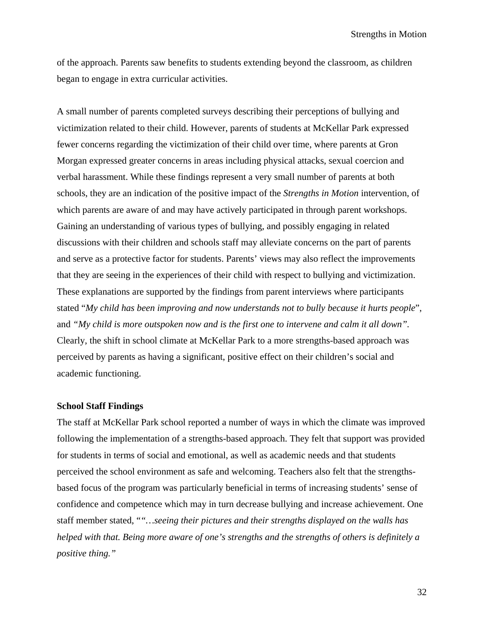of the approach. Parents saw benefits to students extending beyond the classroom, as children began to engage in extra curricular activities.

A small number of parents completed surveys describing their perceptions of bullying and victimization related to their child. However, parents of students at McKellar Park expressed fewer concerns regarding the victimization of their child over time, where parents at Gron Morgan expressed greater concerns in areas including physical attacks, sexual coercion and verbal harassment. While these findings represent a very small number of parents at both schools, they are an indication of the positive impact of the *Strengths in Motion* intervention, of which parents are aware of and may have actively participated in through parent workshops. Gaining an understanding of various types of bullying, and possibly engaging in related discussions with their children and schools staff may alleviate concerns on the part of parents and serve as a protective factor for students. Parents' views may also reflect the improvements that they are seeing in the experiences of their child with respect to bullying and victimization. These explanations are supported by the findings from parent interviews where participants stated "*My child has been improving and now understands not to bully because it hurts people*", and *"My child is more outspoken now and is the first one to intervene and calm it all down".* Clearly, the shift in school climate at McKellar Park to a more strengths-based approach was perceived by parents as having a significant, positive effect on their children's social and academic functioning.

## **School Staff Findings**

The staff at McKellar Park school reported a number of ways in which the climate was improved following the implementation of a strengths-based approach. They felt that support was provided for students in terms of social and emotional, as well as academic needs and that students perceived the school environment as safe and welcoming. Teachers also felt that the strengthsbased focus of the program was particularly beneficial in terms of increasing students' sense of confidence and competence which may in turn decrease bullying and increase achievement. One staff member stated, "*"…seeing their pictures and their strengths displayed on the walls has helped with that. Being more aware of one's strengths and the strengths of others is definitely a positive thing."*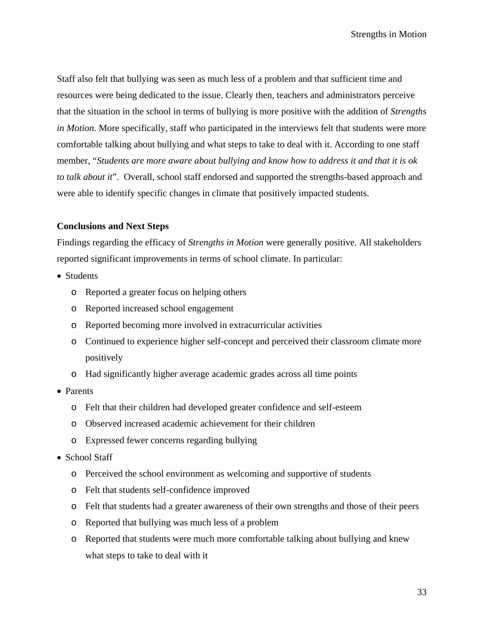Staff also felt that bullying was seen as much less of a problem and that sufficient time and resources were being dedicated to the issue. Clearly then, teachers and administrators perceive that the situation in the school in terms of bullying is more positive with the addition of *Strengths in Motion*. More specifically, staff who participated in the interviews felt that students were more comfortable talking about bullying and what steps to take to deal with it. According to one staff member, "*Students are more aware about bullying and know how to address it and that it is ok to talk about it*". Overall, school staff endorsed and supported the strengths-based approach and were able to identify specific changes in climate that positively impacted students.

# **Conclusions and Next Steps**

Findings regarding the efficacy of *Strengths in Motion* were generally positive. All stakeholders reported significant improvements in terms of school climate. In particular:

- Students
	- o Reported a greater focus on helping others
	- o Reported increased school engagement
	- o Reported becoming more involved in extracurricular activities
	- o Continued to experience higher self-concept and perceived their classroom climate more positively
	- o Had significantly higher average academic grades across all time points
- Parents
	- o Felt that their children had developed greater confidence and self-esteem
	- o Observed increased academic achievement for their children
	- o Expressed fewer concerns regarding bullying
- School Staff
	- o Perceived the school environment as welcoming and supportive of students
	- o Felt that students self-confidence improved
	- o Felt that students had a greater awareness of their own strengths and those of their peers
	- o Reported that bullying was much less of a problem
	- o Reported that students were much more comfortable talking about bullying and knew what steps to take to deal with it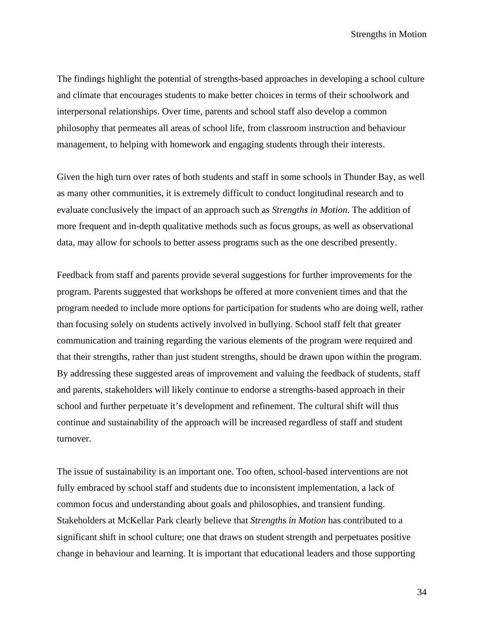The findings highlight the potential of strengths-based approaches in developing a school culture and climate that encourages students to make better choices in terms of their schoolwork and interpersonal relationships. Over time, parents and school staff also develop a common philosophy that permeates all areas of school life, from classroom instruction and behaviour management, to helping with homework and engaging students through their interests.

Given the high turn over rates of both students and staff in some schools in Thunder Bay, as well as many other communities, it is extremely difficult to conduct longitudinal research and to evaluate conclusively the impact of an approach such as *Strengths in Motion*. The addition of more frequent and in-depth qualitative methods such as focus groups, as well as observational data, may allow for schools to better assess programs such as the one described presently.

Feedback from staff and parents provide several suggestions for further improvements for the program. Parents suggested that workshops be offered at more convenient times and that the program needed to include more options for participation for students who are doing well, rather than focusing solely on students actively involved in bullying. School staff felt that greater communication and training regarding the various elements of the program were required and that their strengths, rather than just student strengths, should be drawn upon within the program. By addressing these suggested areas of improvement and valuing the feedback of students, staff and parents, stakeholders will likely continue to endorse a strengths-based approach in their school and further perpetuate it's development and refinement. The cultural shift will thus continue and sustainability of the approach will be increased regardless of staff and student turnover.

The issue of sustainability is an important one. Too often, school-based interventions are not fully embraced by school staff and students due to inconsistent implementation, a lack of common focus and understanding about goals and philosophies, and transient funding. Stakeholders at McKellar Park clearly believe that *Strengths in Motion* has contributed to a significant shift in school culture; one that draws on student strength and perpetuates positive change in behaviour and learning. It is important that educational leaders and those supporting

34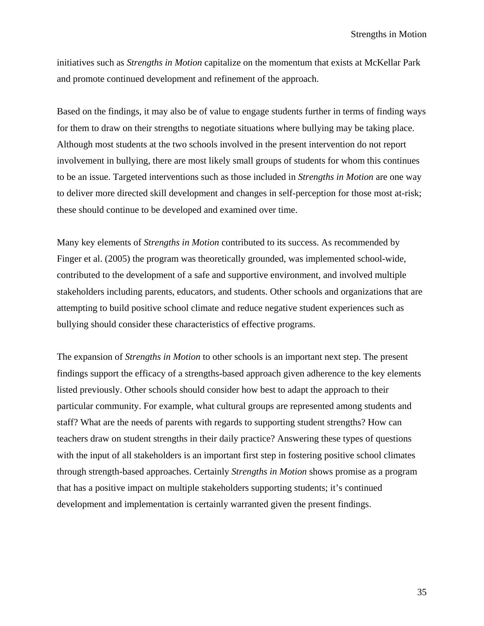initiatives such as *Strengths in Motion* capitalize on the momentum that exists at McKellar Park and promote continued development and refinement of the approach.

Based on the findings, it may also be of value to engage students further in terms of finding ways for them to draw on their strengths to negotiate situations where bullying may be taking place. Although most students at the two schools involved in the present intervention do not report involvement in bullying, there are most likely small groups of students for whom this continues to be an issue. Targeted interventions such as those included in *Strengths in Motion* are one way to deliver more directed skill development and changes in self-perception for those most at-risk; these should continue to be developed and examined over time.

Many key elements of *Strengths in Motion* contributed to its success. As recommended by Finger et al. (2005) the program was theoretically grounded, was implemented school-wide, contributed to the development of a safe and supportive environment, and involved multiple stakeholders including parents, educators, and students. Other schools and organizations that are attempting to build positive school climate and reduce negative student experiences such as bullying should consider these characteristics of effective programs.

The expansion of *Strengths in Motion* to other schools is an important next step. The present findings support the efficacy of a strengths-based approach given adherence to the key elements listed previously. Other schools should consider how best to adapt the approach to their particular community. For example, what cultural groups are represented among students and staff? What are the needs of parents with regards to supporting student strengths? How can teachers draw on student strengths in their daily practice? Answering these types of questions with the input of all stakeholders is an important first step in fostering positive school climates through strength-based approaches. Certainly *Strengths in Motion* shows promise as a program that has a positive impact on multiple stakeholders supporting students; it's continued development and implementation is certainly warranted given the present findings.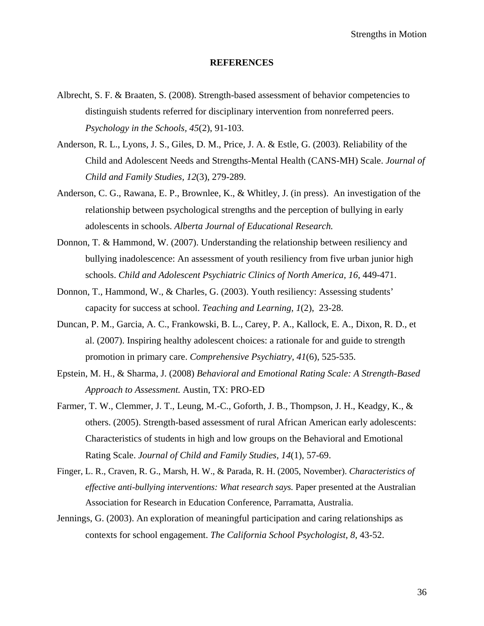### **REFERENCES**

- Albrecht, S. F. & Braaten, S. (2008). Strength-based assessment of behavior competencies to distinguish students referred for disciplinary intervention from nonreferred peers. *Psychology in the Schools, 45*(2), 91-103.
- Anderson, R. L., Lyons, J. S., Giles, D. M., Price, J. A. & Estle, G. (2003). Reliability of the Child and Adolescent Needs and Strengths-Mental Health (CANS-MH) Scale. *Journal of Child and Family Studies, 12*(3), 279-289.
- Anderson, C. G., Rawana, E. P., Brownlee, K., & Whitley, J. (in press). An investigation of the relationship between psychological strengths and the perception of bullying in early adolescents in schools. *Alberta Journal of Educational Research.*
- Donnon, T. & Hammond, W. (2007). Understanding the relationship between resiliency and bullying inadolescence: An assessment of youth resiliency from five urban junior high schools. *Child and Adolescent Psychiatric Clinics of North America, 16,* 449-471.
- Donnon, T., Hammond, W., & Charles, G. (2003). Youth resiliency: Assessing students' capacity for success at school. *Teaching and Learning, 1*(2), 23-28.
- Duncan, P. M., Garcia, A. C., Frankowski, B. L., Carey, P. A., Kallock, E. A., Dixon, R. D., et al. (2007). Inspiring healthy adolescent choices: a rationale for and guide to strength promotion in primary care. *Comprehensive Psychiatry, 41*(6), 525-535.
- Epstein, M. H., & Sharma, J. (2008) *Behavioral and Emotional Rating Scale: A Strength-Based Approach to Assessment.* Austin, TX: PRO-ED
- Farmer, T. W., Clemmer, J. T., Leung, M.-C., Goforth, J. B., Thompson, J. H., Keadgy, K., & others. (2005). Strength-based assessment of rural African American early adolescents: Characteristics of students in high and low groups on the Behavioral and Emotional Rating Scale. *Journal of Child and Family Studies, 14*(1), 57-69.
- Finger, L. R., Craven, R. G., Marsh, H. W., & Parada, R. H. (2005, November). *Characteristics of effective anti-bullying interventions: What research says. Paper presented at the Australian* Association for Research in Education Conference, Parramatta, Australia.
- Jennings, G. (2003). An exploration of meaningful participation and caring relationships as contexts for school engagement. *The California School Psychologist, 8*, 43-52.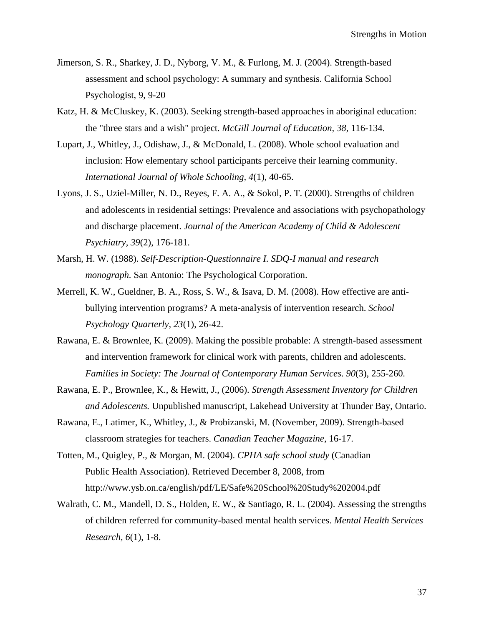- Jimerson, S. R., Sharkey, J. D., Nyborg, V. M., & Furlong, M. J. (2004). Strength-based assessment and school psychology: A summary and synthesis. California School Psychologist, 9, 9-20
- Katz, H. & McCluskey, K. (2003). Seeking strength-based approaches in aboriginal education: the "three stars and a wish" project. *McGill Journal of Education, 38*, 116-134.
- Lupart, J., Whitley, J., Odishaw, J., & McDonald, L. (2008). Whole school evaluation and inclusion: How elementary school participants perceive their learning community. *International Journal of Whole Schooling, 4*(1), 40-65.
- Lyons, J. S., Uziel-Miller, N. D., Reyes, F. A. A., & Sokol, P. T. (2000). Strengths of children and adolescents in residential settings: Prevalence and associations with psychopathology and discharge placement. *Journal of the American Academy of Child & Adolescent Psychiatry, 39*(2), 176-181.
- Marsh, H. W. (1988). *Self-Description-Questionnaire I. SDQ-I manual and research monograph.* San Antonio: The Psychological Corporation.
- Merrell, K. W., Gueldner, B. A., Ross, S. W., & Isava, D. M. (2008). How effective are antibullying intervention programs? A meta-analysis of intervention research. *School Psychology Quarterly, 23*(1), 26-42.
- Rawana, E. & Brownlee, K. (2009). Making the possible probable: A strength-based assessment and intervention framework for clinical work with parents, children and adolescents. *Families in Society: The Journal of Contemporary Human Services*. *90*(3), 255-260*.*
- Rawana, E. P., Brownlee, K., & Hewitt, J., (2006). *Strength Assessment Inventory for Children and Adolescents.* Unpublished manuscript, Lakehead University at Thunder Bay, Ontario.
- Rawana, E., Latimer, K., Whitley, J., & Probizanski, M. (November, 2009). Strength-based classroom strategies for teachers. *Canadian Teacher Magazine*, 16-17.
- Totten, M., Quigley, P., & Morgan, M. (2004). *CPHA safe school study* (Canadian Public Health Association). Retrieved December 8, 2008, from http://www.ysb.on.ca/english/pdf/LE/Safe%20School%20Study%202004.pdf
- Walrath, C. M., Mandell, D. S., Holden, E. W., & Santiago, R. L. (2004). Assessing the strengths of children referred for community-based mental health services. *Mental Health Services Research, 6*(1), 1-8.